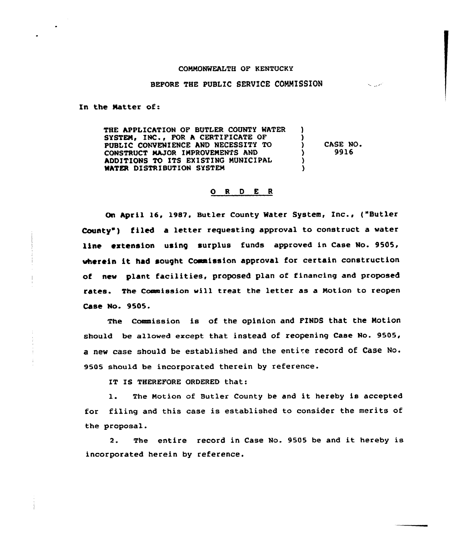## COMMONWEALTH OF KENTUCKY

## BEFORE THE PUBLIC SERVICE COMMISSION

مريديه

In the Natter of:

THE APPLICATION OF BUTLER COUNTY WATER SYSTEM, INC., FOR A CERTIFICATE OF PUBLIC CONVENIENCE AND NECESSITY TO CONSTRUCT MAJOR IMPROVEMENTS AND ADDITIONS TO ITS EXISTING MUNICIPAL MATER DISTRIBUTION SYSTEM ) ) ) CASE NO. ) 9916 ) )

## 0 <sup>R</sup> <sup>D</sup> E <sup>R</sup>

On April 16, 1987. Butler County Mater System, Inc., {"Butler County") filed a letter requesting approval to construct a water line extension using surplus funds approved in case No. 9505, vherein it had sought Commission approval for certain construction of new plant facilities, proposed plan of financing and proposed rates. The Commission will treat the letter as a Motion to reopen Case No. 9505.

The Commission is of the opinion and FINDS that the Notion should be allowed except that instead of reopening Case No. 9505, a new case should be established and the entire record of Case No. 9505 should be incorporated therein by reference.

IT IS THEREFORE ORDERED that:

1. The Notion of Butler County be and it hereby is accepted for filing and this case is established to consider the merits of the proposal.

2. The entire record in Case No. 9505 be and it hereby is incorporated herein by reference.